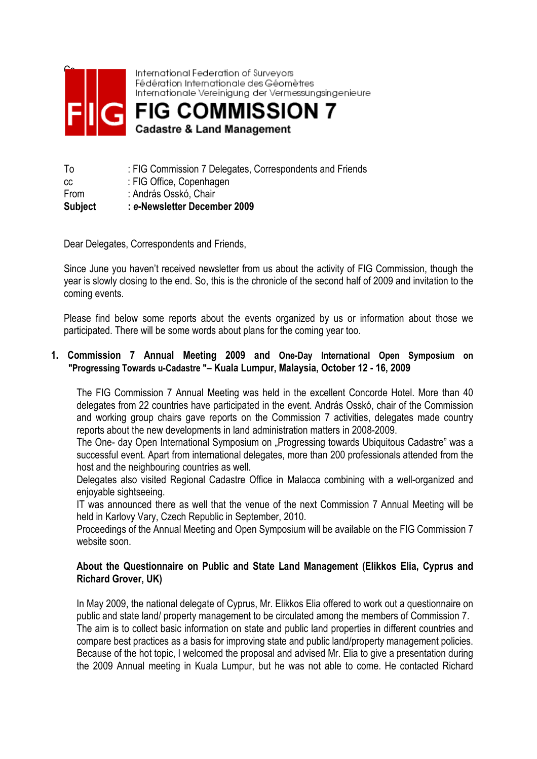

International Federation of Surveyors Fédération Internationale des Géomètres Internationale Vereinigung der Vermessungsingenieure

**FIG COMMISSION 7 Cadastre & Land Management** 

| To             | : FIG Commission 7 Delegates, Correspondents and Friends |
|----------------|----------------------------------------------------------|
| CC.            | : FIG Office, Copenhagen                                 |
| From           | : András Osskó, Chair                                    |
| <b>Subject</b> | : e-Newsletter December 2009                             |

Dear Delegates, Correspondents and Friends,

Since June you haven't received newsletter from us about the activity of FIG Commission, though the year is slowly closing to the end. So, this is the chronicle of the second half of 2009 and invitation to the coming events.

Please find below some reports about the events organized by us or information about those we participated. There will be some words about plans for the coming year too.

### 1. Commission 7 Annual Meeting 2009 and One-Day International Open Symposium on "Progressing Towards u-Cadastre "– Kuala Lumpur, Malaysia, October 12 - 16, 2009

 The FIG Commission 7 Annual Meeting was held in the excellent Concorde Hotel. More than 40 delegates from 22 countries have participated in the event. András Osskó, chair of the Commission and working group chairs gave reports on the Commission 7 activities, delegates made country reports about the new developments in land administration matters in 2008-2009.

The One- day Open International Symposium on "Progressing towards Ubiquitous Cadastre" was a successful event. Apart from international delegates, more than 200 professionals attended from the host and the neighbouring countries as well.

Delegates also visited Regional Cadastre Office in Malacca combining with a well-organized and enjoyable sightseeing.

IT was announced there as well that the venue of the next Commission 7 Annual Meeting will be held in Karlovy Vary, Czech Republic in September, 2010.

Proceedings of the Annual Meeting and Open Symposium will be available on the FIG Commission 7 website soon.

### About the Questionnaire on Public and State Land Management (Elikkos Elia, Cyprus and Richard Grover, UK)

In May 2009, the national delegate of Cyprus, Mr. Elikkos Elia offered to work out a questionnaire on public and state land/ property management to be circulated among the members of Commission 7. The aim is to collect basic information on state and public land properties in different countries and compare best practices as a basis for improving state and public land/property management policies. Because of the hot topic, I welcomed the proposal and advised Mr. Elia to give a presentation during the 2009 Annual meeting in Kuala Lumpur, but he was not able to come. He contacted Richard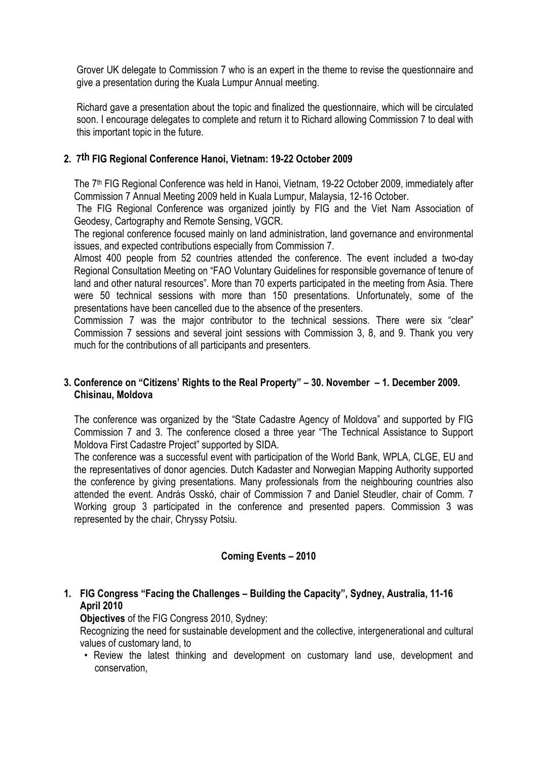Grover UK delegate to Commission 7 who is an expert in the theme to revise the questionnaire and give a presentation during the Kuala Lumpur Annual meeting.

Richard gave a presentation about the topic and finalized the questionnaire, which will be circulated soon. I encourage delegates to complete and return it to Richard allowing Commission 7 to deal with this important topic in the future.

## 2. 7th FIG Regional Conference Hanoi, Vietnam: 19-22 October 2009

The 7<sup>th</sup> FIG Regional Conference was held in Hanoi, Vietnam, 19-22 October 2009, immediately after Commission 7 Annual Meeting 2009 held in Kuala Lumpur, Malaysia, 12-16 October.

 The FIG Regional Conference was organized jointly by FIG and the Viet Nam Association of Geodesy, Cartography and Remote Sensing, VGCR.

The regional conference focused mainly on land administration, land governance and environmental issues, and expected contributions especially from Commission 7.

Almost 400 people from 52 countries attended the conference. The event included a two-day Regional Consultation Meeting on "FAO Voluntary Guidelines for responsible governance of tenure of land and other natural resources". More than 70 experts participated in the meeting from Asia. There were 50 technical sessions with more than 150 presentations. Unfortunately, some of the presentations have been cancelled due to the absence of the presenters.

Commission 7 was the major contributor to the technical sessions. There were six "clear" Commission 7 sessions and several joint sessions with Commission 3, 8, and 9. Thank you very much for the contributions of all participants and presenters.

### 3. Conference on "Citizens' Rights to the Real Property" – 30. November – 1. December 2009. Chisinau, Moldova

The conference was organized by the "State Cadastre Agency of Moldova" and supported by FIG Commission 7 and 3. The conference closed a three year "The Technical Assistance to Support Moldova First Cadastre Project" supported by SIDA.

The conference was a successful event with participation of the World Bank, WPLA, CLGE, EU and the representatives of donor agencies. Dutch Kadaster and Norwegian Mapping Authority supported the conference by giving presentations. Many professionals from the neighbouring countries also attended the event. András Osskó, chair of Commission 7 and Daniel Steudler, chair of Comm. 7 Working group 3 participated in the conference and presented papers. Commission 3 was represented by the chair, Chryssy Potsiu.

# Coming Events – 2010

# 1. FIG Congress "Facing the Challenges – Building the Capacity", Sydney, Australia, 11-16 April 2010

Objectives of the FIG Congress 2010, Sydney:

Recognizing the need for sustainable development and the collective, intergenerational and cultural values of customary land, to

• Review the latest thinking and development on customary land use, development and conservation,